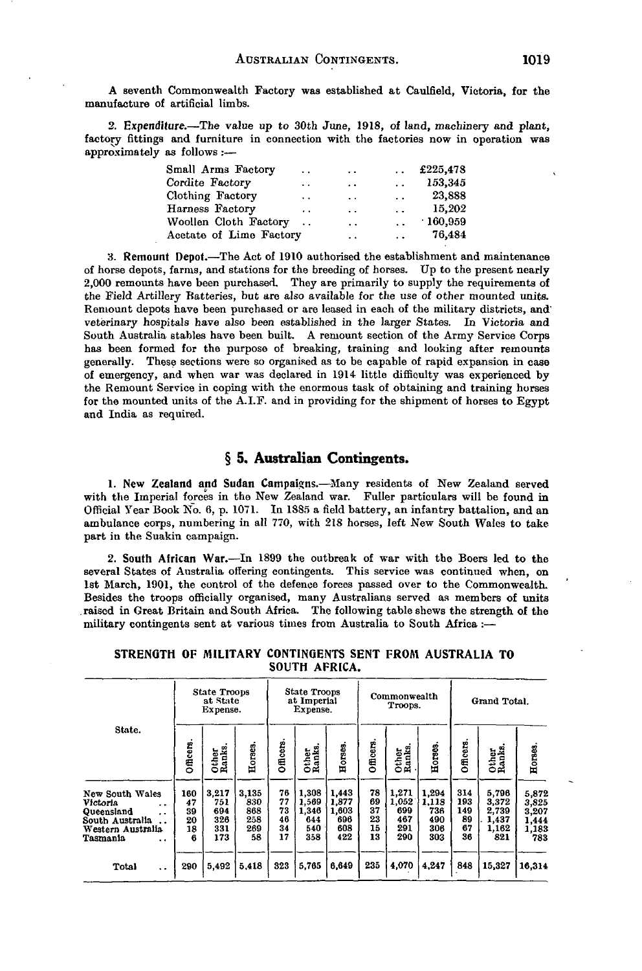A seventh Commonwealth Factory was established at Caulfield, Victoria, for the manufacture of artificial limbs.

2. Expenditure.—The value up to 30th June, 1918, of land, machinery and plant, factory fittings and furniture in connection with the factories now in operation was approximately as follows :—

| Small Arms Factory      | $\ddotsc$            | $\cdot$ .            | $\ddot{\phantom{0}}$ | £225,478 |
|-------------------------|----------------------|----------------------|----------------------|----------|
| Cordite Factory         | . .                  | $\cdot$ .            | $\ddot{\phantom{a}}$ | 153,345  |
| Clothing Factory        | $\ddot{\phantom{0}}$ | $\ddot{\phantom{0}}$ | $\sim$               | 23,888   |
| Harness Factory         | $\cdot$ $\cdot$      | $\ddot{\phantom{0}}$ | $\ddot{\phantom{0}}$ | 15,202   |
| Woollen Cloth Factory   | $\ddotsc$            | $\ddot{\phantom{0}}$ | $\ddot{\phantom{a}}$ | .160,959 |
| Acetate of Lime Factory |                      | $\ddot{\phantom{0}}$ | $\ddot{\phantom{a}}$ | 76,484   |

3. Remount Depot.—The Act of 1910 authorised the establishment and maintenance of horse depots, farms, and stations for the breeding of horses. Up to the present nearly 2,000 remounts have been purchased. They are primarily to supply the requirements of the Field Artillery Batteries, but are also available for the use of other mounted units. Remount depots have been purchased or are leased in each of the military districts, and' veterinary hospitals have also been established in the larger States. In Victoria and South Australia stables have been built. A remount section of the Army Service Corps has been formed for the purpose of breaking, training and looking after remounts generally. These sections were so organised as to be capable of rapid expansion in case of emergency, and when war was declared in 1914 little difficulty was experienced by the Remount Service in coping with the enormous task of obtaining and training horses for the mounted units of the A.I.F. and in providing for the shipment of horses to Egypt and India as required.

# **§ 5. Australian Contingents.**

1. New Zealand and Sudan Campaigns.—Many residents of New Zealand served with the Imperial forces in the New Zealand war. Fuller particulars will be found in Official Year Book No. 6, p. 1071. In 1885 a field battery, an infantry battalion, and an ambulance corps, numbering in all 770, with 218 horses, left New South Wales to take part in the Suakin campaign.

2. South African War.—In 1899 the outbreak of war with the Boers led to the several States of Australia offering contingents. This service was continued when, on 1st March, 1901, the control of the defence forces passed over to the Commonwealth. Besides the troops officially organised, many Australians served as members of units .raised in Great Britain and South Africa. The following table shews the strength of the military contingents sent at various times from Australia to South Africa:—

|  | STRENGTH OF MILITARY CONTINGENTS SENT FROM AUSTRALIA TO |  |  |
|--|---------------------------------------------------------|--|--|
|  | SOUTH AFRICA.                                           |  |  |

|                                                                                                                                                                       |                                  | <b>State Troops</b><br>at State<br>Expense. |                                         |                                  | State Troops<br>at Imperial<br>Expense.      |                                              |                                  | Commonwealth<br>Grand Total.<br>Troops.    |                                            |                                     |                                                  |                                                  |
|-----------------------------------------------------------------------------------------------------------------------------------------------------------------------|----------------------------------|---------------------------------------------|-----------------------------------------|----------------------------------|----------------------------------------------|----------------------------------------------|----------------------------------|--------------------------------------------|--------------------------------------------|-------------------------------------|--------------------------------------------------|--------------------------------------------------|
| State.                                                                                                                                                                | Officers.                        | Other<br>Ranks.                             | Horses.                                 | Officers                         | Other<br>Ranks.                              | Horses                                       | Officers                         | Other<br>Ranks,                            | Horses                                     | <b>Officers</b>                     | Other<br>Ranks                                   | Horses                                           |
| New South Wales<br>Victoria<br>$\ddot{\phantom{0}}$<br>Queensland<br>$\ddot{\phantom{0}}$<br>South Australia<br>Western Australia<br>Tasmania<br>$\ddot{\phantom{0}}$ | 160<br>47<br>39<br>20<br>18<br>6 | 3,217<br>751<br>694<br>326<br>331<br>173    | 3.135<br>830<br>868<br>258<br>269<br>58 | 76<br>77<br>73<br>46<br>34<br>17 | 1,308<br>1,569<br>1,346<br>644<br>540<br>358 | 1,443<br>1.877<br>1.603<br>696<br>608<br>422 | 78<br>69<br>37<br>23<br>15<br>13 | 1,271<br>1,052<br>699<br>467<br>291<br>290 | 1,294<br>1.113<br>736<br>490<br>306<br>303 | 314<br>193<br>149<br>89<br>67<br>36 | 5,796<br>3,372<br>2,739<br>1,437<br>1.162<br>821 | 5,872<br>3,825<br>3,207<br>1,444<br>1,183<br>783 |
| Total<br>$\ddot{\phantom{0}}$                                                                                                                                         | 290                              | 5,492                                       | 5,418                                   | 323                              | 5,765                                        | 6,649                                        | 235                              | 4,070                                      | 4,247                                      | 848                                 | 15,327                                           | 16.314                                           |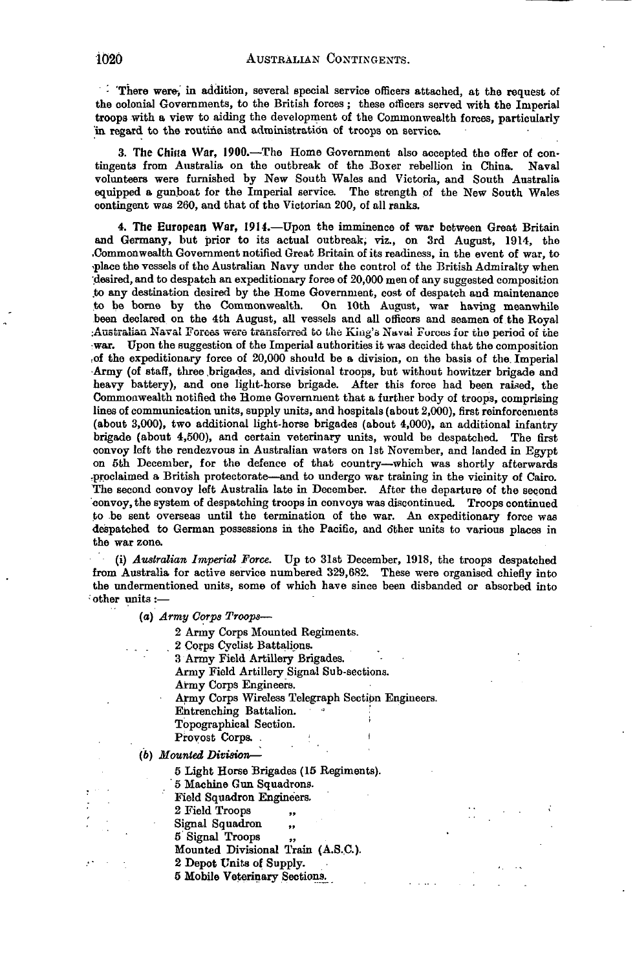.<br>There were, in addition, several special service officers attached, at the request of the colonial Governments, to the British forces; these officers served with the Imperial troops with a view to aiding the development of the Commonwealth forces, particularly in regard to the routine and administration of troops on service.

3. The China War, 1900.—The Home Government also accepted the offer of contingents from Australia on the outbreak of the Boxer rebellion in China. Naval volunteers were furnished by New South Wales and Victoria, and South Australia equipped a gunboat for the Imperial service. The strength of the New South Wales contingent was 260, and that of the Victorian 200, of all ranks.

4. The European War, 1914.—Upon the imminence of war between Great Britain and Germany, but prior to its actual outbreak, viz., on 3rd August, 1914, the .Commonwealth Government notified Great Britain of its readiness, in the event of war, to -place the vessels of the Australian Navy under the control of the British Admiralty when desired, and to despatch an expeditionary force of 20,000 men of any suggested composition to any destination desired by the Home Government, cost of despatch and maintenance to be borne by the Commonwealth. On 10th August, war having meanwhile On 10th August, war having meanwhile been declared on the 4th August, all vessels and all officers and seamen of the Royal Australian Naval Forces were transferred to the King's Naval Forces for the period of the •war. Upon the suggestion of the Imperial authorities it was decided that the composition of the expeditionary force of  $20,000$  should be a division, on the basis of the Imperial Army (of staff, three brigades, and divisional troops, but without howitzer brigade and heavy battery), and one light-horse brigade. After this force had been raised, the Commonwealth notified the Home Government that a further body of troops, comprising lines of communication units, supply units, and hospitals (about 2,000), first reinforcements (about 3,000), two additional light-horse brigades (about 4,000), an additional infantry brigade (about 4,500), and certain veterinary units, would be despatched. The first convoy left the rendezvous in Australian waters on 1st November, and landed in Egypt on 5th December, for the defence of that country—which was shortly afterwards ^proclaimed a British protectorate—and to undergo war training in the vicinity of Cairo. The second convoy left Australia late in December. After the departure of the second convoy, the system of despatching troops in convoys was discontinued. Troops continued to be sent overseas until the termination of the war. An expeditionary force was despatched to German possessions in the Pacific, and o'ther units to various places in the war zona

(i) *Australian Imperial Force.* Up to 31st December, 1918, the troops despatched from Australia for active service numbered 329,682. These were organised chiefly into the undermentioned units, some of which have since been disbanded or absorbed into -other units:—

(a) *Army Corps Troops*—

2 Army Corps Mounted Regiments.

- 2 Corps Cyclist Battalions. 3 Army Field Artillery Brigades. Army Field Artillery Signal Sub-sections. Army Corps Engineers, Army Corps Wireless Telegraph Section Engineers. Entrenching Battalion. *Property Services* Topographical Section. Provost Corps. (6) *Mounted Division*— 5 Light Horse Brigades (15 Regiments). 5 Machine Gun Squadrons. Field Squadron Engineers. 2 Field Troops Signal Squadron, 5 Signal Troops Mounted Divisional Train (A.S.C.). 2 Depot Units of Supply.
	- 5 Mobile Veterinary Sections^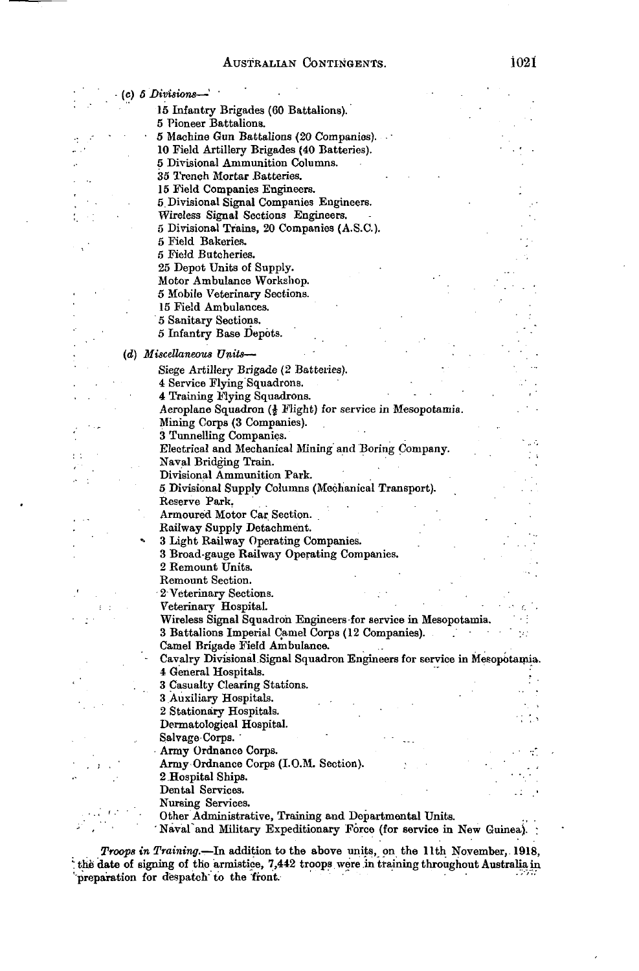$\frac{1}{2}$  ,  $\frac{1}{2}$  ,  $\frac{1}{2}$  $\mathbb{C} \rightarrow \mathbb{R}$ 

 $\mathbb{C}^*$  $\hat{\mathcal{S}}$ 

 $\cdot$ 

| (c) 5 Divisions- |                                                                                                                                                                                                                                                              |  |
|------------------|--------------------------------------------------------------------------------------------------------------------------------------------------------------------------------------------------------------------------------------------------------------|--|
|                  | 15 Infantry Brigades (60 Battalions).                                                                                                                                                                                                                        |  |
|                  | 5 Pioneer Battalions.                                                                                                                                                                                                                                        |  |
|                  | 5 Machine Gun Battalions (20 Companies).                                                                                                                                                                                                                     |  |
|                  |                                                                                                                                                                                                                                                              |  |
|                  | 10 Field Artillery Brigades (40 Batteries).                                                                                                                                                                                                                  |  |
|                  | 5 Divisional Ammunition Columns.                                                                                                                                                                                                                             |  |
|                  | 35 Trench Mortar Batteries.                                                                                                                                                                                                                                  |  |
|                  | 15 Field Companies Engineers.                                                                                                                                                                                                                                |  |
|                  | 5 Divisional Signal Companies Engineers.                                                                                                                                                                                                                     |  |
|                  | Wireless Signal Sections Engineers.                                                                                                                                                                                                                          |  |
|                  | 5 Divisional Trains, 20 Companies (A.S.C.).                                                                                                                                                                                                                  |  |
|                  | 5 Field Bakeries.                                                                                                                                                                                                                                            |  |
|                  | 5 Field Butcheries.                                                                                                                                                                                                                                          |  |
|                  | 25 Depot Units of Supply.                                                                                                                                                                                                                                    |  |
|                  | Motor Ambulance Workshop.                                                                                                                                                                                                                                    |  |
|                  | 5 Mobile Veterinary Sections.                                                                                                                                                                                                                                |  |
|                  | 15 Field Ambulances.                                                                                                                                                                                                                                         |  |
|                  | 5 Sanitary Sections.                                                                                                                                                                                                                                         |  |
|                  | 5 Infantry Base Depots.                                                                                                                                                                                                                                      |  |
|                  |                                                                                                                                                                                                                                                              |  |
|                  | (d) Miscellaneous Units-                                                                                                                                                                                                                                     |  |
|                  | Siege Artillery Brigade (2 Batteries).                                                                                                                                                                                                                       |  |
|                  | 4 Service Flying Squadrons.                                                                                                                                                                                                                                  |  |
|                  | 4 Training Flying Squadrons.                                                                                                                                                                                                                                 |  |
|                  | Aeroplane Squadron (§ Flight) for service in Mesopotamia.                                                                                                                                                                                                    |  |
|                  | Mining Corps (3 Companies).                                                                                                                                                                                                                                  |  |
|                  | 3 Tunnelling Companies.                                                                                                                                                                                                                                      |  |
|                  | Electrical and Mechanical Mining and Boring Company.                                                                                                                                                                                                         |  |
|                  | Naval Bridging Train.                                                                                                                                                                                                                                        |  |
|                  | Divisional Ammunition Park.                                                                                                                                                                                                                                  |  |
|                  | 5 Divisional Supply Columns (Mechanical Transport).                                                                                                                                                                                                          |  |
|                  | Reserve Park.                                                                                                                                                                                                                                                |  |
|                  | Armoured Motor Car Section.                                                                                                                                                                                                                                  |  |
|                  | Railway Supply Detachment.                                                                                                                                                                                                                                   |  |
|                  | 3 Light Railway Operating Companies.                                                                                                                                                                                                                         |  |
|                  | 3 Broad-gauge Railway Operating Companies.                                                                                                                                                                                                                   |  |
|                  | 2 Remount Units.                                                                                                                                                                                                                                             |  |
|                  | Remount Section.                                                                                                                                                                                                                                             |  |
|                  | 2 Veterinary Sections.                                                                                                                                                                                                                                       |  |
|                  | Veterinary Hospital.                                                                                                                                                                                                                                         |  |
|                  | Wireless Signal Squadron Engineers for service in Mesopotamia.                                                                                                                                                                                               |  |
|                  | 3 Battalions Imperial Camel Corps (12 Companies).                                                                                                                                                                                                            |  |
|                  | Camel Brigade Field Ambulance.                                                                                                                                                                                                                               |  |
|                  | Cavalry Divisional Signal Squadron Engineers for service in Mesopotamia.                                                                                                                                                                                     |  |
|                  | 4 General Hospitals.                                                                                                                                                                                                                                         |  |
|                  | 3 Casualty Clearing Stations.                                                                                                                                                                                                                                |  |
|                  | 3 Auxiliary Hospitals.                                                                                                                                                                                                                                       |  |
|                  | 2 Stationary Hospitals.                                                                                                                                                                                                                                      |  |
|                  | Dermatological Hospital.                                                                                                                                                                                                                                     |  |
|                  | Salvage Corps.                                                                                                                                                                                                                                               |  |
|                  |                                                                                                                                                                                                                                                              |  |
|                  |                                                                                                                                                                                                                                                              |  |
|                  |                                                                                                                                                                                                                                                              |  |
|                  |                                                                                                                                                                                                                                                              |  |
|                  |                                                                                                                                                                                                                                                              |  |
|                  |                                                                                                                                                                                                                                                              |  |
|                  |                                                                                                                                                                                                                                                              |  |
|                  | Army Ordnance Corps.<br>Army Ordnance Corps (I.O.M. Section).<br>2 Hospital Ships.<br>Dental Services.<br>Nursing Services.<br>Other Administrative, Training and Departmental Units.<br>Naval and Military Expeditionary Force (for service in New Guinea). |  |

*Troops in Training.—*In addition to the above units, on the llth November, 1918, the date of signing of the armistice, 7,442 troops were in training throughout Australia in preparation for despatch to the front.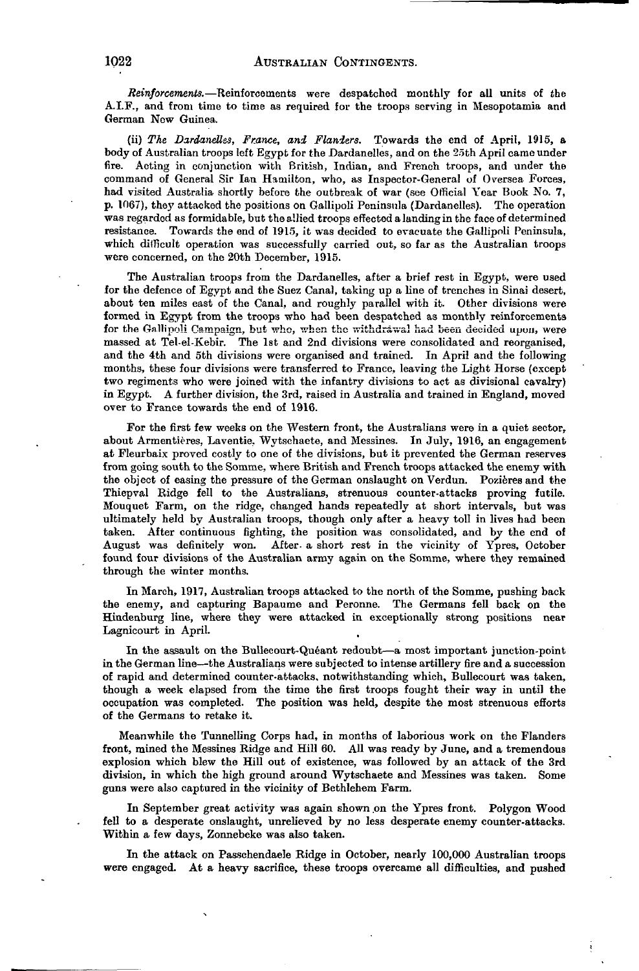*Reinforcements.*—Reinforcements were despatched monthly for all units of the A.I.F., and from time to time as required for the troops serving in Mesopotamia and German New Guinea.

(ii) *The Dardanelles, France, and Flanders.* Towards the end of April, 1915, a body of Australian troops left Egypt for the Dardanelles, and on the 25th April came under fire. Acting in conjunction with British, Indian, and French troops, and under the command of General Sir Ian Hamilton, who, as Inspector-General of Oversea Forces, had visited Australia shortly before the outbreak of war (see Official Year Book No. 7, p. 1067), they attacked the positions on Gallipoli Peninsula (Dardanelles). The operation was regarded as formidable, but the allied troops effected a landing in the face of determined resistance. Towards the end of 1915, it was decided to evacuate the Gallipoli Peninsula, which difficult operation was successfully carried out, so far as the Australian troops were concerned, on the 20th December, 1915.

The Australian troops from the Dardanelles, after a brief rest in Egypt, were used for the defence of Egypt and the Suez Canal, taking up a line of trenches in Sinai desert, about ten miles east of the Canal, and roughly parallel with it. Other divisions were formed in Egypt from the troops who had been despatched as monthly reinforcements for the Gallipoli Campaign, but who, when the withdrawal had been decided upon, were massed at Tel-el-Kebir. The 1st and 2nd divisions were consolidated and reorganised, and the 4th and 5th divisions were organised and trained. In April and the following months, these four divisions were transferred to France, leaving the Light Horse (except two regiments who were joined with the infantry divisions to act as divisional cavalry) in Egypt. A further division, the 3rd, raised in Australia and trained in England, moved over to France towards the end of 1916.

For the first few weeks on the Western front, the Australians were in a quiet sector. about Armentières, Laventie, Wytschaete, and Messines. In July, 1916, an engagement at Fleurbaix proved costly to one of the divisions, but it prevented the German reserves from going south to the Somme, where British and French troops attacked the enemy with the object of easing the pressure of the German onslaught on Verdun. Pozières and the Thiepval Ridge fell to the Australians, strenuous counter-attacks proving futile. Mouquet Farm, on the ridge, changed hands repeatedly at short intervals, but was ultimately held by Australian troops, though only after a heavy toll in lives had been taken. After continuous fighting, the position was consolidated, and by the end of August was definitely won. After, a short rest in the vicinity of Ypres, October found four divisions of the Australian army again on the Somme, where they remained through the winter months.

In March, 1917, Australian troops attacked to the north of the Somme, pushing back the enemy, and capturing Bapaume and Peronne. The Germans fell back on the Hindenburg line, where they were attacked in exceptionally strong positions near Lagnicourt in April.

In the assault on the Bullecourt-Queant redoubt—a most important junction-point in the German line—the Australians were subjected to intense artillery fire and a succession of rapid and determined counter-attacks, notwithstanding which, Bullecourt was taken, though a week elapsed from the time the first troops fought their way in until the occupation was completed. The position was held, despite the most strenuous efforts of the Germans to retake it.

Meanwhile the Tunnelling Corps had, in months of laborious work on the Flanders front, mined the Messines Ridge and Hill 60. All was ready by June, and a tremendous explosion which blew the Hill out of existence, was followed by an attack of the 3rd division, in which the high ground around Wytschaete and Messines was taken. Some guns were also captured in the vicinity of Bethlehem Farm.

In September great activity was again shown on the Ypres front. Polygon Wood fell to a desperate onslaught, unrelieved by no less desperate enemy counter-attacks. Within a few days, Zonnebeke was also taken.

In the attack on Passchendaele Ridge in October, nearly 100,000 Australian troops were engaged. At a heavy sacrifice, these troops overcame all difficulties, and pushed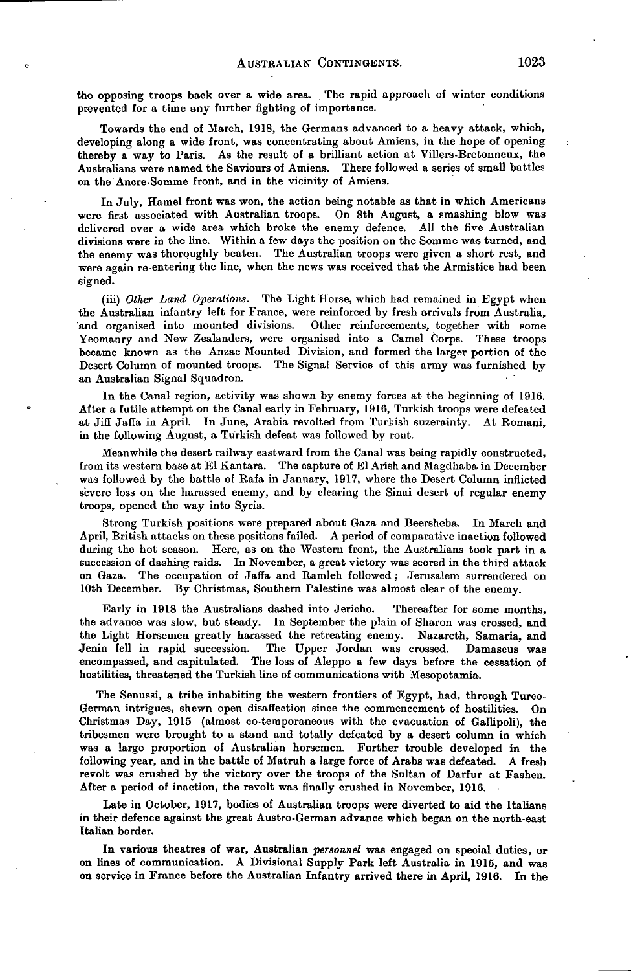the opposing troops back over a wide area. The rapid approach of winter conditions prevented for a time any further fighting of importance.

Towards the end of March, 1918, the Germans advanced to a heavy attack, which, developing along a wide front, was concentrating about Amiens, in the hope of opening thereby a way to Paris. As the result of a brilliant action at Villers-Bretonneux, the Australians were named the Saviours of Amiens. There followed a series of small battles on the Ancre-Somme front, and in the vicinity of Amiens.

In July, Hamel front was won, the action being notable as that in which Americans<br>first associated with Australian troops. On 8th August, a smashing blow was were first associated with Australian troops. delivered over a wide area which broke the enemy defence. All the five Australian divisions were in the line. Within a few days the position on the Somme was turned, and the enemy was thoroughly beaten. The Australian troops were given a short rest, and were again re-entering the line, when the news was received that the Armistice had been signed.

(iii) *Other Land Operations.* The Light Horse, which had remained in Egypt when the Australian infantry left for France, were reinforced by fresh arrivals from Australia, 'and organised into mounted divisions. Other reinforcements, together with some Yeomanry and New Zealanders, were organised into a Camel Corps. These troops became known as the Anzac Mounted Division, and formed the larger portion of the Desert Column of mounted troops. The Signal Service of this army was furnished by an Australian Signal Squadron.

In the Canal region, activity was shown by enemy forces at the beginning of 1916. After a futile attempt on the Canal early in February, 1916, Turkish troops were defeated at Jiff Jaffa in April. In June, Arabia revolted from Turkish suzerainty. At Romani, in the following August, a Turkish defeat was followed by rout.

Meanwhile the desert railway eastward from the Canal was being rapidly constructed, from its western base at El Kantara. The capture of El Arish and Magdhaba in December was followed by the battle of Kafa in January, 1917, where the Desert Column inflicted severe loss on the harassed enemy, and by clearing the Sinai desert of regular enemy troops, opened the way into Syria.

Strong Turkish positions were prepared about Gaza and Beersheba. In March and April, British attacks on these positions failed. A period of comparative inaction followed during the hot season. Here, as on the Western front, the Australians took part in a succession of dashing raids. In November, a great victory was scored in the third attack on Gaza. The occupation of Jaffa and Ramleh followed ; Jerusalem surrendered on 10th December. By Christmas, Southern Palestine was almost clear of the enemy.

Early in 1918 the Australians dashed into Jericho. Thereafter for some months, the advance was slow, but steady. In September the plain of Sharon wag crossed, and the Light Horsemen greatly harassed the retreating enemy. Nazareth, Samaria, and Jenin fell in rapid succession. The Upper Jordan was crossed. Damascus was encompassed, and capitulated. The loss of Aleppo a few days before the cessation of hostilities, threatened the Turkish line of communications with Mesopotamia.

The Senussi, a tribe inhabiting the western frontiers of Egypt, had, through Turco-German intrigues, shewn open disaffection since the commencement of hostilities. On Christmas Day, 1915 (almost co-temporaneous with the evacuation of Gallipoli), the tribesmen were brought to a stand and totally defeated by a desert column in which was a large proportion of Australian horsemen. Further trouble developed in the following year, and in the battle of Matruh a large force of Arabs was defeated. A fresh revolt was crushed by the victory over the troops of the Sultan of Darfur at Fashen. After a period of inaction, the revolt was finally crushed in November, 1916.

Late in October, 1917, bodies of Australian troops were diverted to aid the Italians in their defence against the great Austro-German advance which began on the north-east Italian border.

In various theatres of war, Australian *personnel* was engaged on special duties, or on lines of communication. A Divisional Supply Park left Australia in 1915, and was on service in France before the Australian Infantry arrived there in April, 1916. In the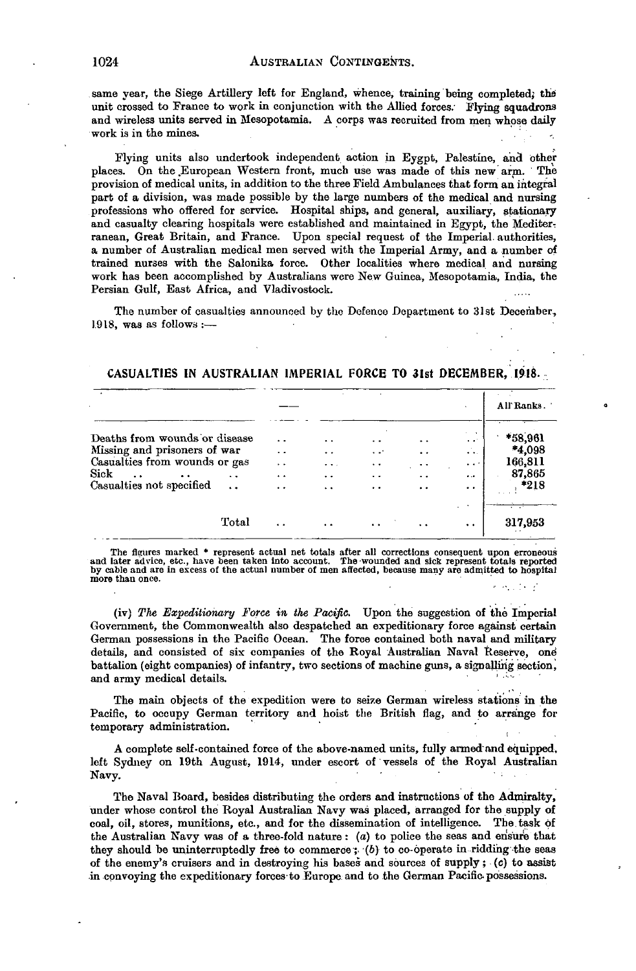same year, the Siege Artillery left for England, whence, training being completed; the unit crossed to France to work in conjunction with the Allied forces. Flying squadrons and wireless units served in Mesopotamia. A corps was recruited from men whose daily work is in the mines.

Flying units also undertook independent action in Eygpt, Palestine, and other places. On the European Western front, much use was made of this new arm. The provision of medical units, in addition to the three Field Ambulances that form an integral part of a division, was made possible by the large numbers of the medical and nursing professions who offered for service. Hospital ships, and general, auxiliary, stationary and casualty clearing hospitals were established and maintained in Egypt, the Mediterranean, Great Britain, and France. Upon special request of the Imperial authorities, a number of Australian medical men served with the Imperial Army, and a number of trained nurses with the Salonika force. Other localities where medical and nursing work has been accomplished by Australians were New Guinea, Mesopotamia, India, the Persian Gulf, East Africa, and Vladivostock.

The number of casualties announced by the Defence Department to 31st December, 1918, was as follows :—

|                               |       |                      |                      |                      |                      |                           | All'Ranks.      |
|-------------------------------|-------|----------------------|----------------------|----------------------|----------------------|---------------------------|-----------------|
| Deaths from wounds or disease |       | $\ddot{\phantom{1}}$ | $\ddot{\phantom{0}}$ | . .                  |                      | $\sim$<br>$\cdot$ $\cdot$ | *58,961         |
| Missing and prisoners of war  |       | $\ddot{\phantom{0}}$ | . .                  | $\cdot$ $\cdot$      | . .                  | $\cdots$                  | *4,098          |
| Casualties from wounds or gas |       | $\cdot$ $\cdot$      | $\cdots$             | $\ddot{\phantom{1}}$ | $\sim$               | $\cdots$                  | 166,811         |
| Sick                          | . .   | $\ddot{\phantom{0}}$ | $\cdot$ $\cdot$      | $\cdot$ $\cdot$      | $\bullet$            | $\ddotsc$                 | 87,865          |
| Casualties not specified      |       | $\bullet$ $\bullet$  | $\ddot{\phantom{0}}$ | $\cdot$ $\cdot$      | $\cdot$ $\cdot$      | . .                       | $*218$          |
|                               |       |                      |                      |                      |                      |                           | $\cdot$ $\cdot$ |
|                               | Total | . .                  |                      |                      | $\ddot{\phantom{0}}$ | $\ddot{\phantom{0}}$      | 317,953         |

### CASUALTIES IN AUSTRALIAN IMPERIAL FORCE TO 3Ist DECEMBER, 1918.

The figures marked \* represent actual net totals after all corrections consequent upon erroneous and later advice, etc., have been taken into account. The wounded and sick represent totals reported by cable and are in excess of the actual number of men affected, because many are admitted to hospital more than once.

(iv) *The Expeditionary Force in the Pacific.* Upon the suggestion of the Imperial Government, the Commonwealth also despatched an expeditionary force against certain German possessions in the Pacific Ocean. The force contained both naval and military details, and consisted of six companies of the Royal Australian Naval Reserve, one battalion (eight companies) of infantry, two sections of machine guns, a signalling section, and army medical details.

The main objects of the expedition were to seize German wireless stations in the Pacific, to occupy German territory and hoist the British flag, and to arrange for temporary administration.

A complete self-contained force of the above-named units, fully armed'and equipped, left Sydney on 19th August, 1914, under escort of vessels of the Royal Australian  $N$ avy.

The Naval Board, besides distributing the orders and instructions of the Admiralty, under whose control the Royal Australian Navy was placed, arranged for the supply of coal, oil, stores, munitions, etc., and for the dissemination of intelligence. The task of the Australian Navy was of a three-fold nature: (a) to police the seas and ensure that they should be uninterruptedly free to commerce;. (b) to co-operate in ridding the seas of the enemy's cruisers and in destroying his bases and sources of supply; (c) to assist .in convoying the expeditionary forces-to Europe and to the German Pacific, possessions.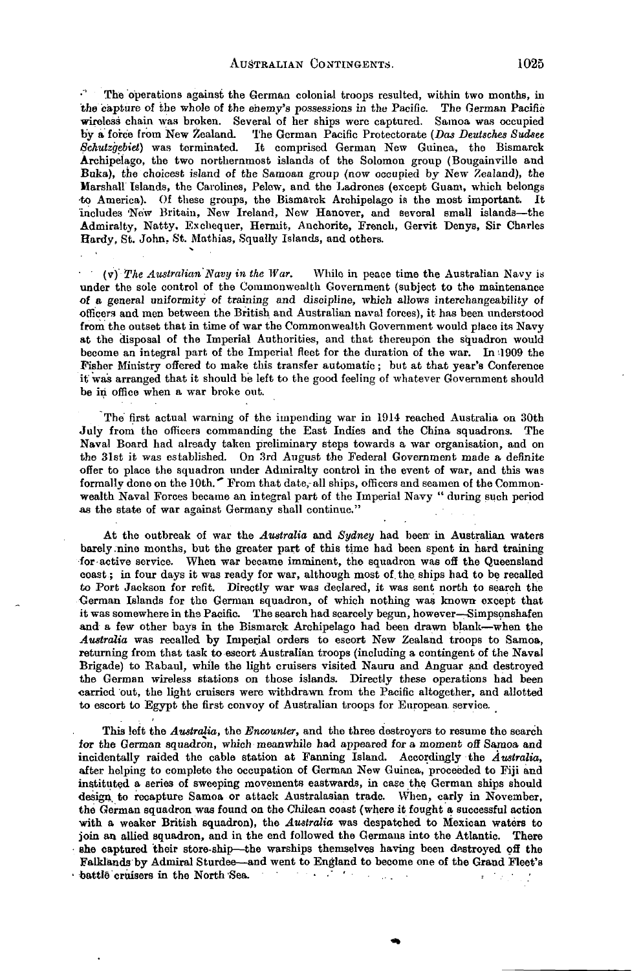$\cdot$ . The operations against the German colonial troops resulted, within two months, in the capture of the whole of the enemy's possessions in the Pacific. The German Pacific wireless chain was broken. Several of her ships were captured. Samoa was occupied by a force from New Zealand. The German Pacific Protectorate *(Das Deutsches Sudsee Schutzgebiet)* was terminated. It comprised German New Guinea, the Bismarck Archipelago, the two northernmost islands of the Solomon group (Bougainville and Buka), the choicest island of the Samoan group (now occupied by New Zealand), the Marshall Islands, the Carolines, Pelew, and the Ladrones (except Guam, which belongs •to America). Of these groups, the Bismarck Archipelago is the most important. It includes 'New Britain, New Ireland, New Hanover, and several small islands—the Admiralty, Natty. Exchequer, Hermit, Anchorite, French, Gervit Denys, Sir Charles Hardy, St. John, St. Mathias, Squally Islands, and others. ^

(v) *The Australian Navy in the War.* While in peace time the Australian Navy is under the sole control of the Commonwealth Government (subject to the maintenance of a general uniformity of training and discipline, which allows interchangeability of officers and men between the British and Australian naval forces), it has been understood from the outset that in time of war the Commonwealth Government would place its Navy at the disposal of the Imperial Authorities, and that thereupon the squadron would become an integral part of the Imperial fleet for the duration of the war. In 1909 the Fisher Ministry offered to make this transfer automatic; but at that year's Conference it was arranged that it should be left to the good feeling of whatever Government should be in office when a war broke out.

The first actual warning of the impending war in 1914 reached Australia on 30th July from the officers commanding the East Indies and the China squadrons. The Naval Board had already taken preliminary steps towards a war organisation, and on the 31st it was established. On 3rd August the Federal Government made a definite offer to place the squadron under Admiralty control in the event of war, and this was formally done on the 10th.<sup> $\sim$ </sup> From that date, all ships, officers and seamen of the Commonwealth Naval Forces became an integral part of the Imperial Navy " during such period as the state of war against Germany shall continue."

At the outbreak of war the *Australia* and *Sydney* had been in Australian waters barely .nine months, but the greater part of this time had been spent in hard training for active service. When war became imminent, the squadron was off the Queensland coast; in four days it was ready for war, although most of. the ships had to be recalled to Port Jackson for refit. Directly war was declared, it was sent north to search the German Islands for the German squadron, of which nothing was known except that it was somewhere in the Pacific. The search had scarcely begun, however-Simpsonshafen and a few other bays in the Bismarck Archipelago had been drawn blank—when the *Australia* was recalled by Imperial orders to escort New Zealand troops to Samoa, returning from that task to escort Australian troops (including a contingent of the Naval Brigade) to Eabaul, while the light cruisers visited Nauru and Anguar and destroyed the German wireless stations on those islands. Directly these operations had been carried out, the light cruisers were withdrawn from the Pacific altogether, and allotted to escort to Egypt the first convoy of Australian troops for European service.

This left the *Australia,* the *Encounter,* and the three destroyers to resume the search for the German squadron, which meanwhile had appeared for a moment off Samoa and incidentally raided the cable station at Fanning Island. Accordingly the *Australia,* after helping to complete the occupation of German New Guinea, proceeded to Fiji and instituted a series of sweeping movements eastwards, in case the German ships should design, to recapture Samoa or attack Australasian trade. When, early in November, the German squadron was found on the Chilean coast (where it fought a successful action with a weaker British squadron), the *Australia* was despatched to Mexican waters to join an allied squadron, and in the end followed the Germans into the Atlantic. There • she captured their store-ship—the warships themselves having been destroyed off the Falklands by Admiral Sturdee—and went to England to become one of the Grand Fleet's • battle cruisers in the North'Sea. • • " ' . *•.'.•• •*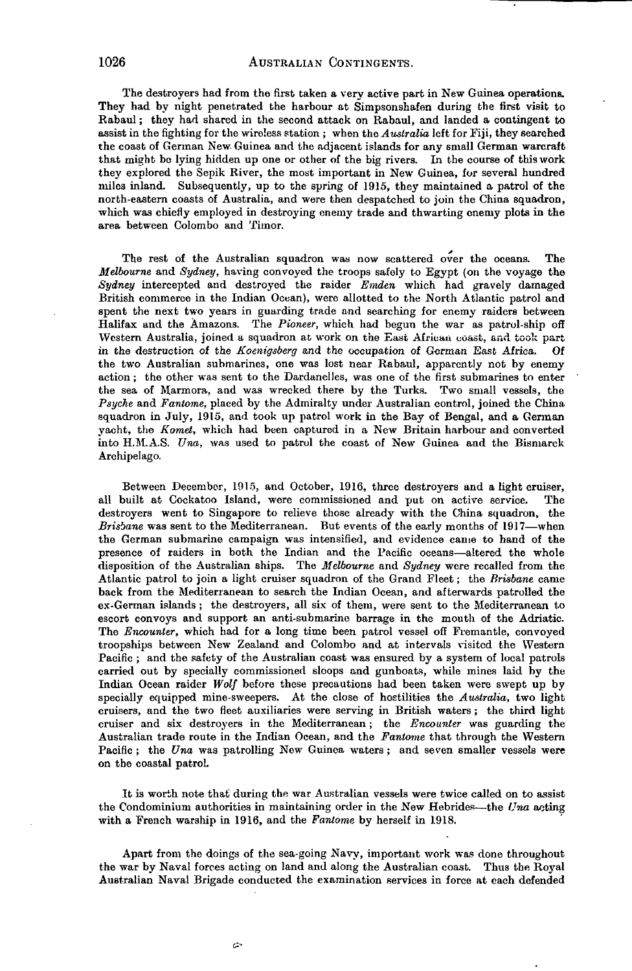The destroyers had from the first taken a very active part in New Guinea operations. They had by night penetrated the harbour at Simpsonshafen during the first visit to Rabaul; they had shared in the second attack on Rabaul, and landed a contingent to assist in the fighting for the wireless station ; when the *Australia* left for Fiji, they searched the coast of German New Guinea and the adjacent islands for any small German warcraft that might be lying hidden up one or other of the big rivers. In the course of this work they explored the Sepik River, the most important in New Guinea, for several hundred miles inland. Subsequently, up to the spring of 1915, they maintained a patrol of the north-eastern coasts of Australia, and were then despatched to join the China squadron, which was chiefly employed in destroying enemy trade and thwarting enemy plots in the area between Colombo and Timor.

The rest of the Australian squadron was now scattered over the oceans. The *Melbourne* and *Sydney,* having convoyed the troops safely to Egypt (on the voyage the *Sydney* intercepted and destroyed the raider *Emden* which had gravely damaged British commerce in the Indian Ocean), were allotted to the North Atlantic patrol and spent the next two years in guarding trade and searching for enemy raiders between Halifax and the Amazons. The *Pioneer,* which had begun the war as patrol-ship off Western Australia, joined a squadron at work on the East African coast, and took part in the destruction of the *Koenigsberg* and the occupation of German East Africa. Of the two Australian submarines, one was lost near Rabaul, apparently not by enemy action ; the other was sent to the Dardanelles, was one of the first submarines to enter the sea of Marmora, and was wrecked there by the Turks. Two small vessels, the *Psyche* and *Fantome,* placed by the Admiralty under Australian control, joined the China squadron in July, 1915, and took up patrol work in the Bay of Bengal, and a German yacht, the *Komet,* which had been captured in a New Britain harbour and converted into H.M.A.S. *Una,* was used to patrol the coast of New Guinea and the Bismarck Archipelago.

Between December, 1915, and October, 1916, three destroyers and a light cruiser, all built at Cockatoo Island, were commissioned and put on active service. The destroyers went to Singapore to relieve those already with the China squadron, the *Brisbane* was sent to the Mediterranean. But events of the early months of 1917—when the German submarine campaign was intensified, and evidence came to hand of the presence of raiders in both the Indian and the Pacific oceans—altered the whole disposition of the Australian ships. The *Melbourne* and *Sydney* were recalled from the Atlantic patrol to join a light cruiser squadron of the Grand Fleet; the *Brisbane* came back from the Mediterranean to search the Indian Ocean, and afterwards patrolled the ex-German islands ; the destroyers, all six of them, were sent to the Mediterranean to escort convoys and support an anti-submarine barrage in the mouth of the Adriatic. The *Encounter,* which had for a long time been patrol vessel off Fremantle, convoyed troopships between New Zealand and Colombo and at intervals visited the Western Pacific ; and the safety of the Australian coast was ensured by a system of local patrols carried out by specially commissioned sloops and gunboats, while mines laid by the Indian Ocean raider *Wolf* before these precautions had been taken were swept up by specially equipped mine-sweepers. At the close of hostilities the *Australia,* two light cruisers, and the two fleet auxiliaries were serving in British waters ; the third light cruiser and six destroyers in the Mediterranean; the *Encounter* was guarding the Australian trade route in the Indian Ocean, and the *Fantome* that through the Western Pacific ; the *Una* was patrolling New Guinea waters; and seven smaller vessels were on the coastal patrol

It is worth note that during the war Australian vessels were twice called on to assist the Condominium authorities in maintaining order in the New Hebrides—the *Una* acting with a French warship in 1916, and the *Fantome* by herself in 1918.

Apart from the doings of the sea-going Navy, important work was done throughout the war by Naval forces acting on land and along the Australian coast. Thus the Royal Australian Naval Brigade conducted the examination services in force at each defended

 $\tilde{\mathbf{c}}$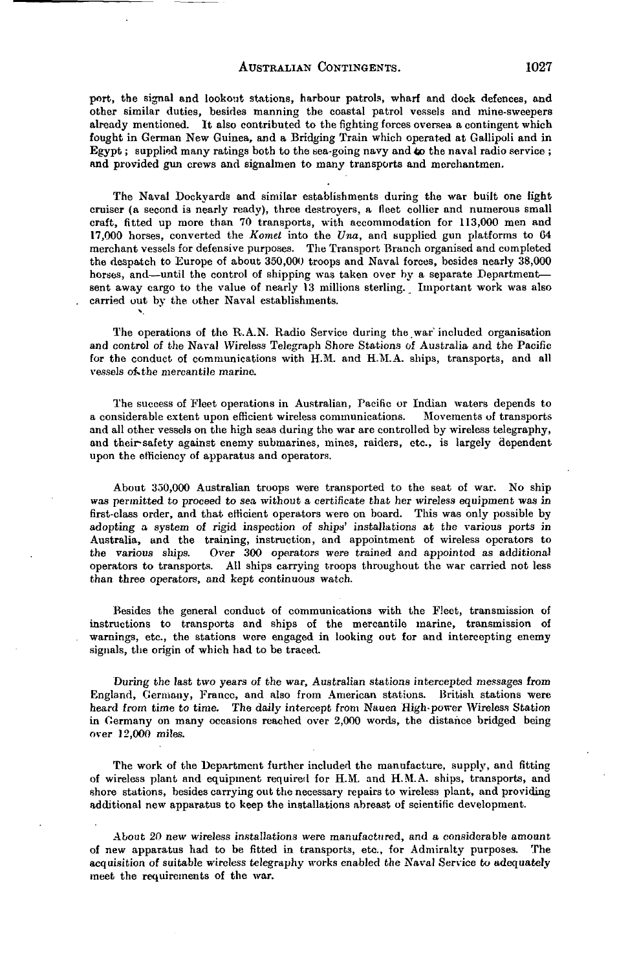## AUSTRALIAN CONTINGENTS. 1027

port, the signal and lookout stations, harbour patrols, wharf and dock defences, and other similar duties, besides manning the coastal patrol vessels and mine-sweepers already mentioned. It also contributed to the fighting forces oversea a contingent which fought in German New Guinea, and a Bridging Train which operated at Gallipoli and in Egypt; supplied many ratings both to the sea-going navy and *to* the naval radio service ; and provided gun crews and signalmen to many transports and merchantmen.

The Naval Dockyards and similar establishments during the war built one light cruiser (a second is nearly ready), three destroyers, a fleet collier and numerous small craft, fitted up more than 70 transports, with accommodation for 113,000 men and 17,000 horses, converted the *Komet* into the *Una,* and supplied gun platforms to 64 merchant vessels for defensive purposes. The Transport Branch organised and completed the despatch to Europe of about 350,000 troops and Naval forces, besides nearly 38,000 horses, and—until the control of shipping was taken over by a separate Department sent away cargo to the value of nearly 13 millions sterling. Important work was also carried out by the other Naval establishments. ^

The operations of the R.A.N. Radio Service during the war' included organisation and control of the Naval Wireless Telegraph Shore Stations of Australia and the Pacific for the conduct of communications with H.M. and H.M.A. ships, transports, and all vessels of the mercantile marine.

The success of Fleet operations in Australian, Pacific or Indian waters depends to a considerable extent upon efficient wireless communications. and all other vessels on the high seas during the war are controlled by wireless telegraphy, and their-safety against enemy submarines, mines, raiders, etc., is largely dependent upon the efficiency of apparatus and operators.

About 350,000 Australian troops were transported to the seat of war. No ship was permitted to proceed to sea without a certificate that her wireless equipment was in first-class order, and that efficient operators were on board. This was only possible by adopting a system of rigid inspection of ships' installations at the various ports in Australia, and the training, instruction, and appointment of wireless operators to the various ships. Over 300 operators were trained and appointed as additional operators to transports. All ships carrying troops throughout the war carried not less than three operators, and kept continuous watch.

Besides the general conduct of communications with the Fleet, transmission of instructions to transports and ships of the mercantile marine, transmission of warnings, etc., the stations were engaged in looking out for and intercepting enemy signals, the origin of which had to be traced.

During the last two years of the war, Australian stations intercepted messages from England, Germany, France, and also from American stations. British stations were heard from time to time. The daily intercept from Nauen High-power Wireless Station in Germany on many occasions reached over 2,000 words, the distance bridged being over 12,000 miles.

The work of the Department further included the manufacture, supply, and fitting of wireless plant and equipment required for H.M. and H.M.A. ships, transports, and shore stations, besides carrying out the necessary repairs to wireless plant, and providing additional new apparatus to keep the installations abreast of scientific development.

About 20 new wireless installations were manufactured, and a considerable amount of new apparatus had to be fitted in transports, etc., for Admiralty purposes. The acquisition of suitable wireless telegraphy works enabled the Naval Service to adequately meet the requirements of the war.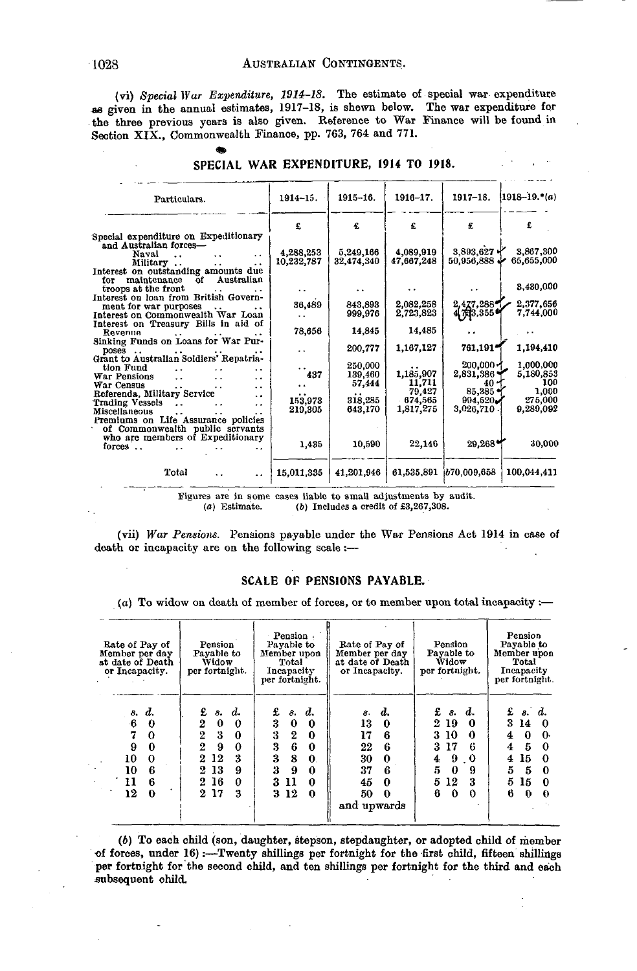(vi) *Special War Expenditure, 1914-18.* The estimate of special war expenditure as given in the annual estimates, 1917-18, is shewn below. The war expenditure for the three previous years is also given. Reference to War Finance will be found in Section XIX., Commonwealth Finance, pp. 763, 764 and 771.

| Particulars.                                                                                                                                                | $1914 - 15.$         | $1915 - 16.$       | $1916 - 17.$                   | $1917 - 18.$                           | $1918 - 19.$ (a)              |
|-------------------------------------------------------------------------------------------------------------------------------------------------------------|----------------------|--------------------|--------------------------------|----------------------------------------|-------------------------------|
|                                                                                                                                                             | £                    | £                  | £                              | £                                      |                               |
| Special expenditure on Expeditionary<br>and Australian forces-<br>Naval<br>$\ddot{\phantom{a}}$                                                             | 4,288,253            | 5,249,166          | 4,089,919                      | 3,893,627 Y                            | 3,867,300                     |
| Military<br>$\ddot{\phantom{0}}$<br>Interest on outstanding amounts due<br>Australian<br>of<br>maintenance<br>for                                           | 10,232,787           | 32,474,340         | 47,667,248                     | 50,956,888                             | 65,655,000                    |
| troops at the front                                                                                                                                         | $\ddot{\phantom{0}}$ |                    |                                |                                        | 3,430,000                     |
| Interest on loan from British Govern-<br>ment for war purposes<br>$\ddot{\phantom{1}}$                                                                      | 36,489               | 843.893            | 2,082,258                      | 2,477,288                              | 2,377,656                     |
| Interest on Commonwealth War Loan<br>Interest on Treasury Bills in aid of                                                                                   | . .                  | 999,976            | 2,723,823                      | 447月3,355日                             | 7,744,000                     |
| Revenue<br>Sinking Funds on Loans for War Pur-                                                                                                              | 78,656               | 14,845             | 14.485                         |                                        |                               |
| poses                                                                                                                                                       | $\ddot{\phantom{0}}$ | 200,777            | 1,167,127                      | 761,191 <sup>*</sup>                   | 1,194,410                     |
| Grant to Australian Soldiers' Repatria-<br>tion Fund<br>$\cdot$                                                                                             |                      | 250.000            |                                | $200,000 -$                            | 1,000,000                     |
| War Pensions<br>$\ddot{\phantom{a}}$<br>. .<br>$\ddot{\phantom{1}}$<br>War Census<br>$\ddot{\phantom{0}}$<br>$\ddot{\phantom{0}}$<br>$\cdot$ .              | 437<br>. .           | 139,460<br>57,444  | 1,185,907<br>11,711            | 2,831,386<br>40                        | 5,180,853<br>100              |
| Referenda, Military Service<br>$\ddot{\phantom{1}}$<br><b>Trading Vessels</b><br>$\cdot$ .<br>Miscellaneous<br>$\ddot{\phantom{0}}$<br>$\ddot{\phantom{0}}$ | 153,973<br>219,305   | 318,285<br>643,170 | 79,427<br>674.565<br>1,817,275 | $85.385 +$<br>994.520<br>$3,026,710$ . | 1,000<br>275,000<br>9.289.092 |
| Premiums on Life Assurance policies<br>of Commonwealth public servants<br>who are members of Expeditionary<br>forces                                        | 1.435                | 10,590             | 22,146                         | 29,268                                 | 30,000                        |
| Total<br>$\ddot{\phantom{a}}$                                                                                                                               | 15,011,335           | 41,201,946         | 61,535,891                     | b70,009,658                            | 100,044,411                   |

#### SPECIAL WAR EXPENDITURE, 1914 TO 1918.

Figures are in some cases liable to small adjustments by audit.<br>(a) Estimate. (b) Includes a credit of  $\text{\pounds}3,267,308$ .  $(b)$  Includes a credit of £3,267,308.

(vii) *War Pensions.* Pensions payable under the War Pensions Act 1914 in case of death or incapacity are on the following scale:—

#### SCALE OF PENSIONS PAYABLE.

*(a)* To widow on death of member of forces, or to member upon total incapacity :—

| Rate of Pay of<br>Member per day<br>st date of Death<br>or Incapacity.                            | Pension<br>Payable to<br>Widow<br>per fortnight.                                                                                       | Pension<br>Payable to<br>Member upon<br>Total<br>Incapacity<br>per fortnight.                                                                | Rate of Pay of<br>Member per day<br>at date of Death<br>or Incapacity.                            | Pension<br>Pavable to<br>Widow<br>per fortnight.                                                                                  | Pension<br>Payable to<br>Member upon<br>Total<br>Incapacity<br>per fortnight.                       |  |  |  |
|---------------------------------------------------------------------------------------------------|----------------------------------------------------------------------------------------------------------------------------------------|----------------------------------------------------------------------------------------------------------------------------------------------|---------------------------------------------------------------------------------------------------|-----------------------------------------------------------------------------------------------------------------------------------|-----------------------------------------------------------------------------------------------------|--|--|--|
| d.<br>8.<br>-6<br>0<br>7<br>$\Omega$<br>9<br>0<br>10<br>0<br>10<br>6<br>6<br>11<br>12<br>$\Omega$ | £<br>d.<br>8.<br>2<br>0<br>0<br>2<br>3<br>$\Omega$<br>$\mathbf{2}$<br>9<br>0<br>3<br>12<br>2<br>13<br>9<br>9.<br>2 16<br>n<br>217<br>з | £<br>d.<br>з.<br>3<br>0<br>0<br>3<br>$\boldsymbol{2}$<br>0<br>3<br>6<br>0<br>3<br>8<br>0.<br>3<br>9<br>0<br>3<br>11<br>0<br>3 12<br>$\Omega$ | d.<br>8.<br>13<br>17<br>6<br>22<br>В<br>30<br>37<br>в<br>45<br>0<br>50<br>$\Omega$<br>and upwards | s. d.<br>£<br>-19<br>2<br>0<br>3<br>-10<br>0<br>17<br>3<br>в<br>4<br>9<br>-0<br>5<br>0<br>9<br>5<br>12<br>3<br>6<br>$\Omega$<br>o | f. s. d.<br>3 14<br>0<br>∩.<br>4<br>Б<br>4<br>0<br>15<br>4<br>0<br>5<br>5<br>5<br>15<br>O<br>6<br>0 |  |  |  |

*(b)* To each child (son, daughter, stepson, stepdaughter, or adopted child of member •of forces, under 16):—Twenty shillings per fortnight for the first child, fifteen shillings per fortnight for the second child, and ten shillings per fortnight for the third and each subsequent child.